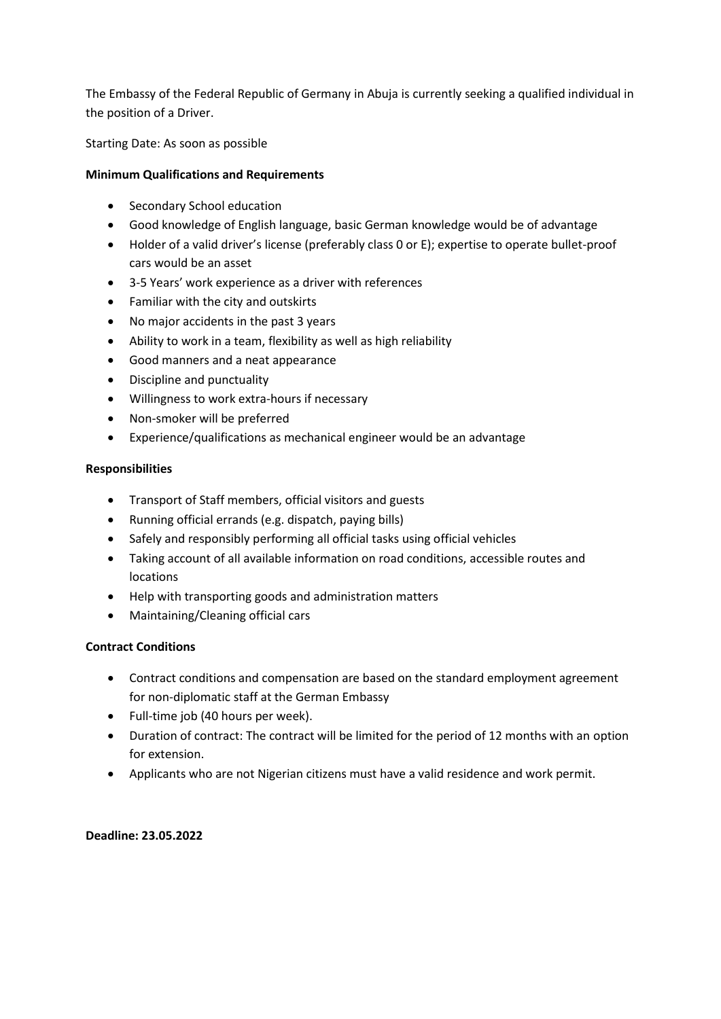The Embassy of the Federal Republic of Germany in Abuja is currently seeking a qualified individual in the position of a Driver.

Starting Date: As soon as possible

# **Minimum Qualifications and Requirements**

- Secondary School education
- Good knowledge of English language, basic German knowledge would be of advantage
- Holder of a valid driver's license (preferably class 0 or E); expertise to operate bullet-proof cars would be an asset
- 3-5 Years' work experience as a driver with references
- Familiar with the city and outskirts
- No major accidents in the past 3 years
- Ability to work in a team, flexibility as well as high reliability
- Good manners and a neat appearance
- Discipline and punctuality
- Willingness to work extra-hours if necessary
- Non-smoker will be preferred
- Experience/qualifications as mechanical engineer would be an advantage

### **Responsibilities**

- Transport of Staff members, official visitors and guests
- Running official errands (e.g. dispatch, paying bills)
- Safely and responsibly performing all official tasks using official vehicles
- Taking account of all available information on road conditions, accessible routes and locations
- Help with transporting goods and administration matters
- Maintaining/Cleaning official cars

## **Contract Conditions**

- Contract conditions and compensation are based on the standard employment agreement for non-diplomatic staff at the German Embassy
- Full-time job (40 hours per week).
- Duration of contract: The contract will be limited for the period of 12 months with an option for extension.
- Applicants who are not Nigerian citizens must have a valid residence and work permit.

**Deadline: 23.05.2022**